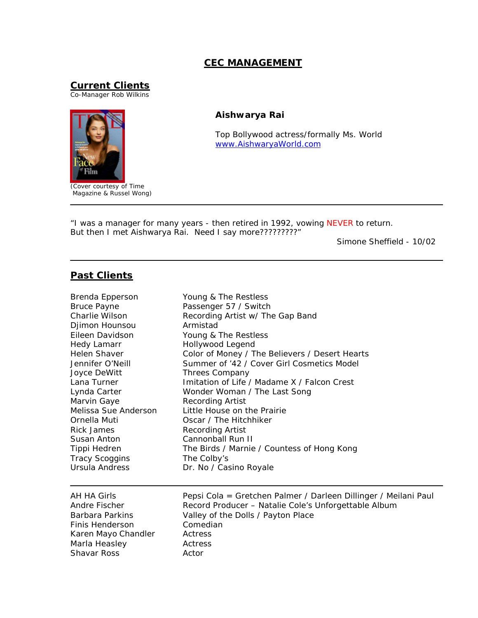## **CEC MANAGEMENT**

**Current Clients**

Co-Manager Rob Wilkins



*(Cover courtesy of Time Magazine & Russel Wong)*

## **Aishwarya Rai**

*Top Bollywood actress/formally Ms. World* [www.AishwaryaWorld.com](http://aishwaryaworld.com)

"*I was a manager for many years - then retired in 1992, vowing NEVER to return. But then I met Aishwarya Rai. Need I say more?????????*"

Simone Sheffield - 10/02

## **Past Clients**

| Brenda Epperson       | Young & The Restless                                            |  |
|-----------------------|-----------------------------------------------------------------|--|
| <b>Bruce Payne</b>    | Passenger 57 / Switch                                           |  |
| Charlie Wilson        | Recording Artist w/ The Gap Band                                |  |
| Djimon Hounsou        | Armistad                                                        |  |
| Eileen Davidson       | Young & The Restless                                            |  |
| Hedy Lamarr           | Hollywood Legend                                                |  |
| Helen Shaver          | Color of Money / The Believers / Desert Hearts                  |  |
| Jennifer O'Neill      | Summer of '42 / Cover Girl Cosmetics Model                      |  |
| Joyce DeWitt          | <b>Threes Company</b>                                           |  |
| Lana Turner           | Imitation of Life / Madame X / Falcon Crest                     |  |
| Lynda Carter          | Wonder Woman / The Last Song                                    |  |
| Marvin Gaye           | Recording Artist                                                |  |
| Melissa Sue Anderson  | Little House on the Prairie                                     |  |
| Ornella Muti          | Oscar / The Hitchhiker                                          |  |
| <b>Rick James</b>     | <b>Recording Artist</b>                                         |  |
| Susan Anton           | Cannonball Run II                                               |  |
| Tippi Hedren          | The Birds / Marnie / Countess of Hong Kong                      |  |
| <b>Tracy Scoggins</b> | The Colby's                                                     |  |
| Ursula Andress        | Dr. No / Casino Royale                                          |  |
| AH HA Girls           | Pepsi Cola = Gretchen Palmer / Darleen Dillinger / Meilani Paul |  |
| Andre Fischer         | Record Producer - Natalie Cole's Unforgettable Album            |  |
| Barbara Parkins       | Valley of the Dolls / Payton Place                              |  |
| Finis Henderson       | Comedian                                                        |  |
| Karen Mayo Chandler   | Actress                                                         |  |
| Marla Heasley         | Actress                                                         |  |
| <b>Shavar Ross</b>    | Actor                                                           |  |